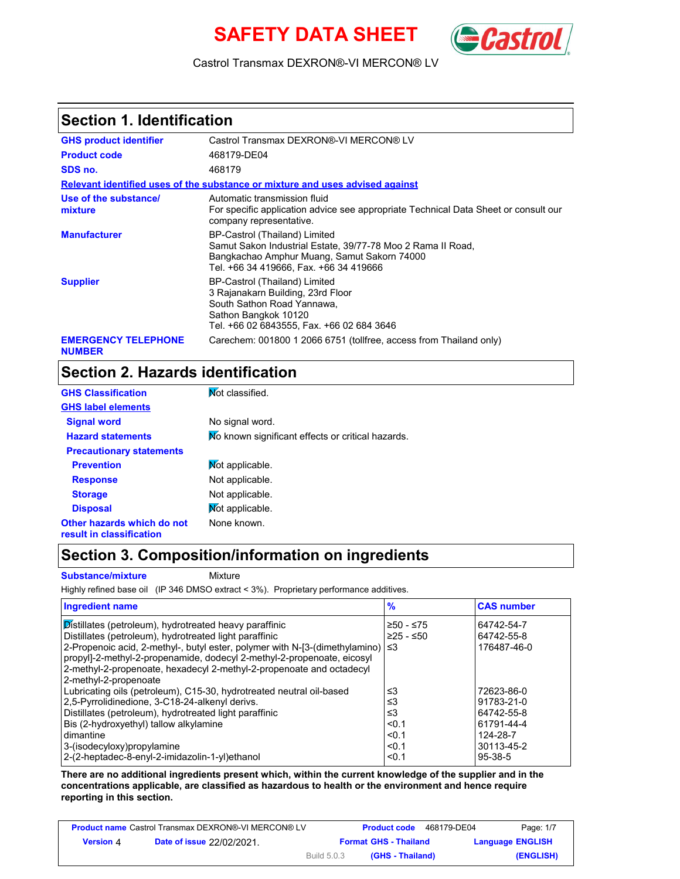# **SAFETY DATA SHEET** *Cast*



Castrol Transmax DEXRON®-VI MERCON® LV

#### **Section 1. Identification**

| <b>GHS product identifier</b>               | Castrol Transmax DEXRON®-VI MERCON® LV                                                                                                                                                |
|---------------------------------------------|---------------------------------------------------------------------------------------------------------------------------------------------------------------------------------------|
| <b>Product code</b>                         | 468179-DE04                                                                                                                                                                           |
| SDS no.                                     | 468179                                                                                                                                                                                |
|                                             | Relevant identified uses of the substance or mixture and uses advised against                                                                                                         |
| Use of the substance/<br>mixture            | Automatic transmission fluid<br>For specific application advice see appropriate Technical Data Sheet or consult our<br>company representative.                                        |
| <b>Manufacturer</b>                         | BP-Castrol (Thailand) Limited<br>Samut Sakon Industrial Estate, 39/77-78 Moo 2 Rama II Road,<br>Bangkachao Amphur Muang, Samut Sakorn 74000<br>Tel. +66 34 419666. Fax. +66 34 419666 |
| <b>Supplier</b>                             | BP-Castrol (Thailand) Limited<br>3 Rajanakarn Building, 23rd Floor<br>South Sathon Road Yannawa,<br>Sathon Bangkok 10120<br>Tel. +66 02 6843555, Fax. +66 02 684 3646                 |
| <b>EMERGENCY TELEPHONE</b><br><b>NUMBER</b> | Carechem: 001800 1 2066 6751 (tollfree, access from Thailand only)                                                                                                                    |

### **Section 2. Hazards identification**

| <b>GHS Classification</b>                              | Mot classified.                                   |
|--------------------------------------------------------|---------------------------------------------------|
| <b>GHS label elements</b>                              |                                                   |
| <b>Signal word</b>                                     | No signal word.                                   |
| <b>Hazard statements</b>                               | No known significant effects or critical hazards. |
| <b>Precautionary statements</b>                        |                                                   |
| <b>Prevention</b>                                      | Mot applicable.                                   |
| <b>Response</b>                                        | Not applicable.                                   |
| <b>Storage</b>                                         | Not applicable.                                   |
| <b>Disposal</b>                                        | Mot applicable.                                   |
| Other hazards which do not<br>result in classification | None known.                                       |

#### **Section 3. Composition/information on ingredients**

**Substance/mixture Mixture** 

Highly refined base oil (IP 346 DMSO extract < 3%). Proprietary performance additives.

| <b>Ingredient name</b>                                                           | $\frac{9}{6}$ | <b>CAS number</b> |
|----------------------------------------------------------------------------------|---------------|-------------------|
| Distillates (petroleum), hydrotreated heavy paraffinic                           | $≥50 - ≤75$   | 64742-54-7        |
| Distillates (petroleum), hydrotreated light paraffinic                           | $≥25 - ≤50$   | 64742-55-8        |
| 2-Propenoic acid, 2-methyl-, butyl ester, polymer with N-[3-(dimethylamino)   ≤3 |               | 176487-46-0       |
| propyl]-2-methyl-2-propenamide, dodecyl 2-methyl-2-propenoate, eicosyl           |               |                   |
| 2-methyl-2-propenoate, hexadecyl 2-methyl-2-propenoate and octadecyl             |               |                   |
| 2-methyl-2-propenoate                                                            |               |                   |
| Lubricating oils (petroleum), C15-30, hydrotreated neutral oil-based             | ≤3            | 72623-86-0        |
| 2,5-Pyrrolidinedione, 3-C18-24-alkenyl derivs.                                   | ≤3            | 91783-21-0        |
| Distillates (petroleum), hydrotreated light paraffinic                           | ≤3            | 64742-55-8        |
| Bis (2-hydroxyethyl) tallow alkylamine                                           | < 0.1         | 61791-44-4        |
| dimantine                                                                        | < 0.1         | 124-28-7          |
| 3-(isodecyloxy)propylamine                                                       | < 0.1         | 30113-45-2        |
| 2-(2-heptadec-8-enyl-2-imidazolin-1-yl)ethanol                                   | < 0.1         | $95-38-5$         |

**There are no additional ingredients present which, within the current knowledge of the supplier and in the concentrations applicable, are classified as hazardous to health or the environment and hence require reporting in this section.**

| <b>Product name</b> Castrol Transmax DEXRON®-VI MERCON® LV |                                  |                    | <b>Product code</b>          | 468179-DE04 | Page: 1/7               |
|------------------------------------------------------------|----------------------------------|--------------------|------------------------------|-------------|-------------------------|
| <b>Version 4</b>                                           | <b>Date of issue 22/02/2021.</b> |                    | <b>Format GHS - Thailand</b> |             | <b>Language ENGLISH</b> |
|                                                            |                                  | <b>Build 5.0.3</b> | (GHS - Thailand)             |             | (ENGLISH)               |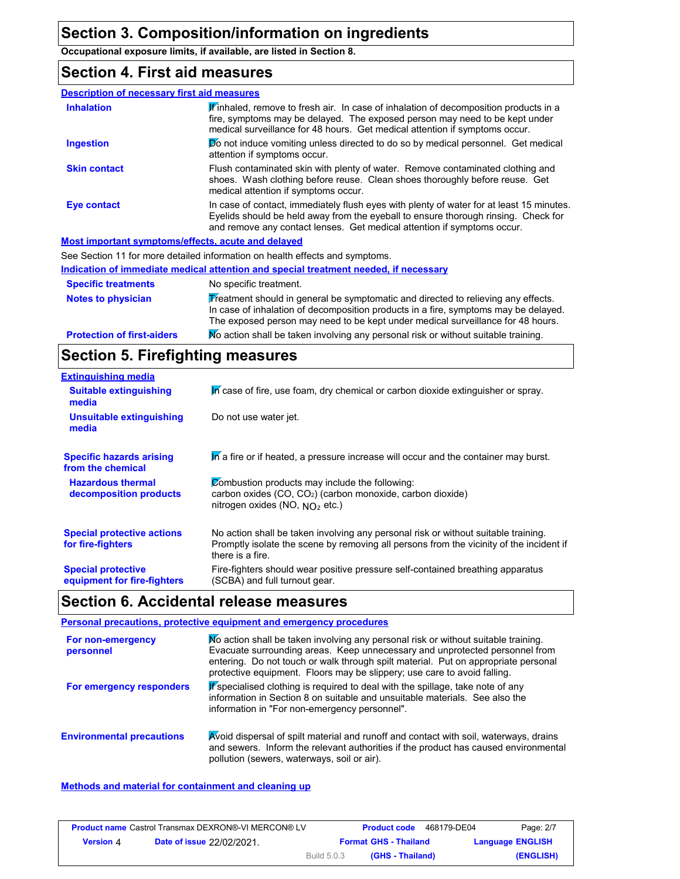**Occupational exposure limits, if available, are listed in Section 8.**

#### **Section 4. First aid measures**

| <b>Description of necessary first aid measures</b> |                                                                                                                                                                                                                                                           |
|----------------------------------------------------|-----------------------------------------------------------------------------------------------------------------------------------------------------------------------------------------------------------------------------------------------------------|
| <b>Inhalation</b>                                  | Finhaled, remove to fresh air. In case of inhalation of decomposition products in a<br>fire, symptoms may be delayed. The exposed person may need to be kept under<br>medical surveillance for 48 hours. Get medical attention if symptoms occur.         |
| <b>Ingestion</b>                                   | <b>Do</b> not induce vomiting unless directed to do so by medical personnel. Get medical<br>attention if symptoms occur.                                                                                                                                  |
| <b>Skin contact</b>                                | Flush contaminated skin with plenty of water. Remove contaminated clothing and<br>shoes. Wash clothing before reuse. Clean shoes thoroughly before reuse. Get<br>medical attention if symptoms occur.                                                     |
| <b>Eye contact</b>                                 | In case of contact, immediately flush eyes with plenty of water for at least 15 minutes.<br>Eyelids should be held away from the eyeball to ensure thorough rinsing. Check for<br>and remove any contact lenses. Get medical attention if symptoms occur. |
|                                                    | Most important symptoms/effects, acute and delayed                                                                                                                                                                                                        |
|                                                    | See Section 11 for more detailed information on health effects and symptoms.                                                                                                                                                                              |
|                                                    | Indication of immediate medical attention and special treatment needed, if necessary                                                                                                                                                                      |

| <b>Specific treatments</b>        | No specific treatment.                                                                                                                                                                                                                                      |
|-----------------------------------|-------------------------------------------------------------------------------------------------------------------------------------------------------------------------------------------------------------------------------------------------------------|
| <b>Notes to physician</b>         | Treatment should in general be symptomatic and directed to relieving any effects.<br>In case of inhalation of decomposition products in a fire, symptoms may be delayed.<br>The exposed person may need to be kept under medical surveillance for 48 hours. |
| <b>Protection of first-aiders</b> | Mo action shall be taken involving any personal risk or without suitable training.                                                                                                                                                                          |

### **Section 5. Firefighting measures**

| <b>Extinguishing media</b>                               |                                                                                                                                                                                                   |
|----------------------------------------------------------|---------------------------------------------------------------------------------------------------------------------------------------------------------------------------------------------------|
| <b>Suitable extinguishing</b><br>media                   | In case of fire, use foam, dry chemical or carbon dioxide extinguisher or spray.                                                                                                                  |
| <b>Unsuitable extinguishing</b><br>media                 | Do not use water jet.                                                                                                                                                                             |
| <b>Specific hazards arising</b><br>from the chemical     | In a fire or if heated, a pressure increase will occur and the container may burst.                                                                                                               |
| <b>Hazardous thermal</b><br>decomposition products       | Combustion products may include the following:<br>carbon oxides (CO, CO <sub>2</sub> ) (carbon monoxide, carbon dioxide)<br>nitrogen oxides (NO, $NO2$ etc.)                                      |
| <b>Special protective actions</b><br>for fire-fighters   | No action shall be taken involving any personal risk or without suitable training.<br>Promptly isolate the scene by removing all persons from the vicinity of the incident if<br>there is a fire. |
| <b>Special protective</b><br>equipment for fire-fighters | Fire-fighters should wear positive pressure self-contained breathing apparatus<br>(SCBA) and full turnout gear.                                                                                   |

# **Section 6. Accidental release measures**

#### **Personal precautions, protective equipment and emergency procedures** No action shall be taken involving any personal risk or without suitable training. Evacuate surrounding areas. Keep unnecessary and unprotected personnel from **For non-emergency personnel**

| <b>DEISONIEI</b>                 | Livacuale surrounung areas. Theep unnecessary and unprotected personner non-<br>entering. Do not touch or walk through spilt material. Put on appropriate personal<br>protective equipment. Floors may be slippery; use care to avoid falling. |
|----------------------------------|------------------------------------------------------------------------------------------------------------------------------------------------------------------------------------------------------------------------------------------------|
| For emergency responders         | If specialised clothing is required to deal with the spillage, take note of any<br>information in Section 8 on suitable and unsuitable materials. See also the<br>information in "For non-emergency personnel".                                |
| <b>Environmental precautions</b> | Avoid dispersal of spilt material and runoff and contact with soil, waterways, drains<br>and sewers. Inform the relevant authorities if the product has caused environmental<br>pollution (sewers, waterways, soil or air).                    |

#### **Methods and material for containment and cleaning up**

| <b>Product name Castrol Transmax DEXRON®-VI MERCON® LV</b> |                                  |                    | <b>Product code</b>          | 468179-DE04 | Page: 2/7               |
|------------------------------------------------------------|----------------------------------|--------------------|------------------------------|-------------|-------------------------|
| <b>Version 4</b>                                           | <b>Date of issue 22/02/2021.</b> |                    | <b>Format GHS - Thailand</b> |             | <b>Language ENGLISH</b> |
|                                                            |                                  | <b>Build 5.0.3</b> | (GHS - Thailand)             |             | (ENGLISH)               |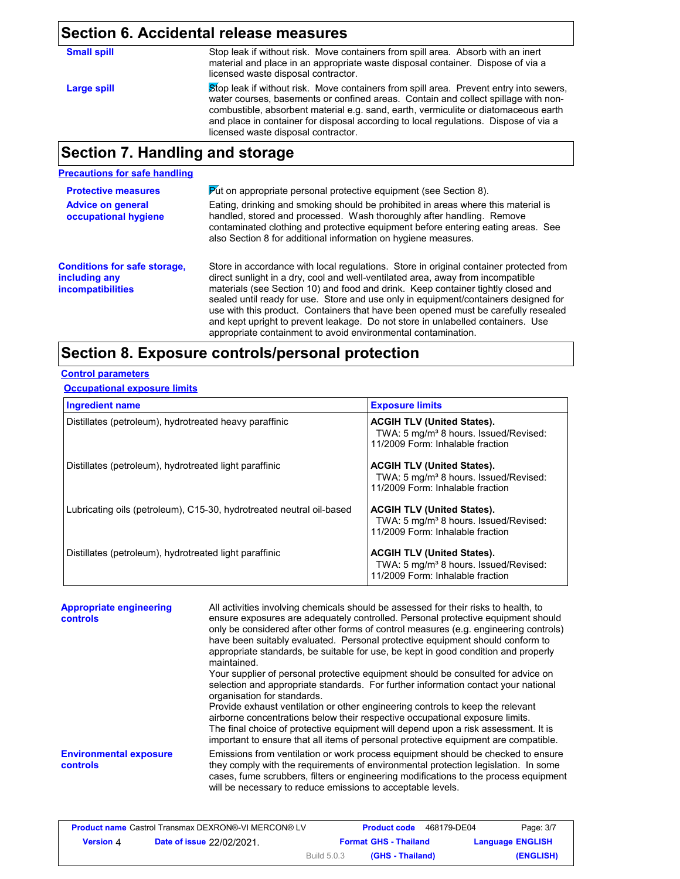#### **Section 6. Accidental release measures**

| <b>Small spill</b> |  |  |
|--------------------|--|--|
|                    |  |  |

**Large spill**

Stop leak if without risk. Move containers from spill area. Absorb with an inert material and place in an appropriate waste disposal container. Dispose of via a licensed waste disposal contractor.

Stop leak if without risk. Move containers from spill area. Prevent entry into sewers, water courses, basements or confined areas. Contain and collect spillage with noncombustible, absorbent material e.g. sand, earth, vermiculite or diatomaceous earth and place in container for disposal according to local regulations. Dispose of via a licensed waste disposal contractor.

### **Section 7. Handling and storage**

#### **Precautions for safe handling**

| <b>Protective measures</b>                                                       | Put on appropriate personal protective equipment (see Section 8).                                                                                                                                                                                                                                                                                                                                                                                                                                                                                                                              |  |
|----------------------------------------------------------------------------------|------------------------------------------------------------------------------------------------------------------------------------------------------------------------------------------------------------------------------------------------------------------------------------------------------------------------------------------------------------------------------------------------------------------------------------------------------------------------------------------------------------------------------------------------------------------------------------------------|--|
| <b>Advice on general</b><br>occupational hygiene                                 | Eating, drinking and smoking should be prohibited in areas where this material is<br>handled, stored and processed. Wash thoroughly after handling. Remove<br>contaminated clothing and protective equipment before entering eating areas. See<br>also Section 8 for additional information on hygiene measures.                                                                                                                                                                                                                                                                               |  |
| <b>Conditions for safe storage,</b><br>including any<br><b>incompatibilities</b> | Store in accordance with local regulations. Store in original container protected from<br>direct sunlight in a dry, cool and well-ventilated area, away from incompatible<br>materials (see Section 10) and food and drink. Keep container tightly closed and<br>sealed until ready for use. Store and use only in equipment/containers designed for<br>use with this product. Containers that have been opened must be carefully resealed<br>and kept upright to prevent leakage. Do not store in unlabelled containers. Use<br>appropriate containment to avoid environmental contamination. |  |

### **Section 8. Exposure controls/personal protection**

#### **Control parameters**

#### **Occupational exposure limits**

| <b>Ingredient name</b>                                               | <b>Exposure limits</b>                                                                                                     |
|----------------------------------------------------------------------|----------------------------------------------------------------------------------------------------------------------------|
| Distillates (petroleum), hydrotreated heavy paraffinic               | <b>ACGIH TLV (United States).</b><br>TWA: 5 mg/m <sup>3</sup> 8 hours. Issued/Revised:<br>11/2009 Form: Inhalable fraction |
| Distillates (petroleum), hydrotreated light paraffinic               | <b>ACGIH TLV (United States).</b><br>TWA: 5 mg/m <sup>3</sup> 8 hours. Issued/Revised:<br>11/2009 Form: Inhalable fraction |
| Lubricating oils (petroleum), C15-30, hydrotreated neutral oil-based | <b>ACGIH TLV (United States).</b><br>TWA: 5 mg/m <sup>3</sup> 8 hours. Issued/Revised:<br>11/2009 Form: Inhalable fraction |
| Distillates (petroleum), hydrotreated light paraffinic               | <b>ACGIH TLV (United States).</b><br>TWA: 5 mg/m <sup>3</sup> 8 hours. Issued/Revised:<br>11/2009 Form: Inhalable fraction |

| <b>Appropriate engineering</b><br><b>controls</b> | All activities involving chemicals should be assessed for their risks to health, to<br>ensure exposures are adequately controlled. Personal protective equipment should<br>only be considered after other forms of control measures (e.g. engineering controls)<br>have been suitably evaluated. Personal protective equipment should conform to<br>appropriate standards, be suitable for use, be kept in good condition and properly<br>maintained.                                                                                                |
|---------------------------------------------------|------------------------------------------------------------------------------------------------------------------------------------------------------------------------------------------------------------------------------------------------------------------------------------------------------------------------------------------------------------------------------------------------------------------------------------------------------------------------------------------------------------------------------------------------------|
|                                                   | Your supplier of personal protective equipment should be consulted for advice on<br>selection and appropriate standards. For further information contact your national<br>organisation for standards.<br>Provide exhaust ventilation or other engineering controls to keep the relevant<br>airborne concentrations below their respective occupational exposure limits.<br>The final choice of protective equipment will depend upon a risk assessment. It is<br>important to ensure that all items of personal protective equipment are compatible. |
| <b>Environmental exposure</b><br>controls         | Emissions from ventilation or work process equipment should be checked to ensure<br>they comply with the requirements of environmental protection legislation. In some<br>cases, fume scrubbers, filters or engineering modifications to the process equipment<br>will be necessary to reduce emissions to acceptable levels.                                                                                                                                                                                                                        |

| <b>Product name Castrol Transmax DEXRON®-VI MERCON® LV</b> |                                  |             | <b>Product code</b>          | 468179-DE04             | Page: 3/7 |
|------------------------------------------------------------|----------------------------------|-------------|------------------------------|-------------------------|-----------|
| Version 4                                                  | <b>Date of issue 22/02/2021.</b> |             | <b>Format GHS - Thailand</b> | <b>Language ENGLISH</b> |           |
|                                                            |                                  | Build 5.0.3 | (GHS - Thailand)             |                         | (ENGLISH) |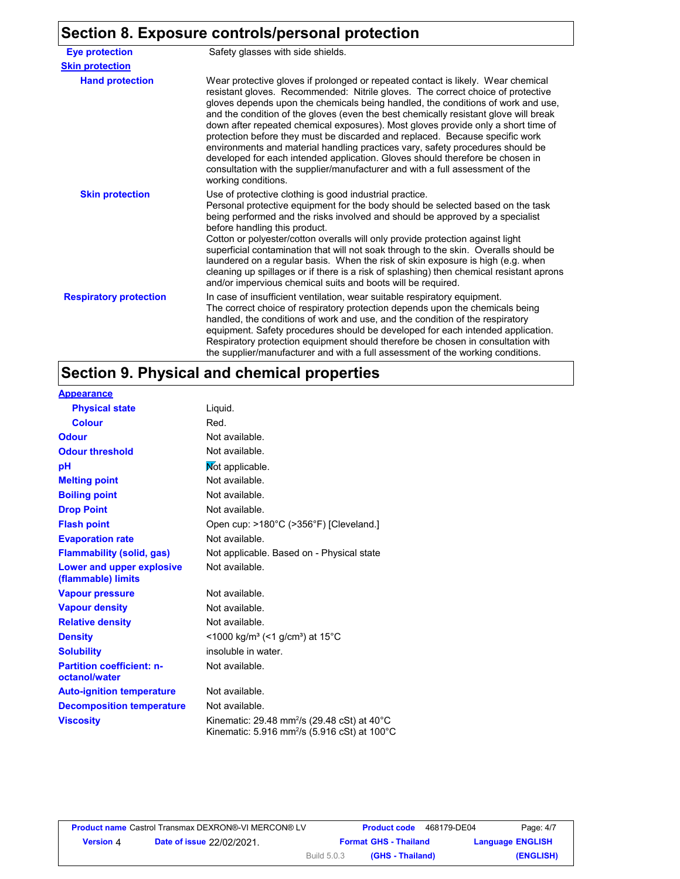#### **Section 8. Exposure controls/personal protection**

**Hand protection** In case of insufficient ventilation, wear suitable respiratory equipment. The correct choice of respiratory protection depends upon the chemicals being handled, the conditions of work and use, and the condition of the respiratory equipment. Safety procedures should be developed for each intended application. Respiratory protection equipment should therefore be chosen in consultation with the supplier/manufacturer and with a full assessment of the working conditions. Wear protective gloves if prolonged or repeated contact is likely. Wear chemical resistant gloves. Recommended: Nitrile gloves. The correct choice of protective gloves depends upon the chemicals being handled, the conditions of work and use, and the condition of the gloves (even the best chemically resistant glove will break down after repeated chemical exposures). Most gloves provide only a short time of protection before they must be discarded and replaced. Because specific work environments and material handling practices vary, safety procedures should be developed for each intended application. Gloves should therefore be chosen in consultation with the supplier/manufacturer and with a full assessment of the working conditions. **Eye protection** Safety glasses with side shields. **Respiratory protection Skin protection** Use of protective clothing is good industrial practice. Personal protective equipment for the body should be selected based on the task being performed and the risks involved and should be approved by a specialist before handling this product. Cotton or polyester/cotton overalls will only provide protection against light superficial contamination that will not soak through to the skin. Overalls should be laundered on a regular basis. When the risk of skin exposure is high (e.g. when cleaning up spillages or if there is a risk of splashing) then chemical resistant aprons and/or impervious chemical suits and boots will be required. **Skin protection**

#### **Section 9. Physical and chemical properties**

| <b>Appearance</b>                                 |                                                                                                                                |
|---------------------------------------------------|--------------------------------------------------------------------------------------------------------------------------------|
| <b>Physical state</b>                             | Liquid.                                                                                                                        |
| <b>Colour</b>                                     | Red.                                                                                                                           |
| <b>Odour</b>                                      | Not available.                                                                                                                 |
| <b>Odour threshold</b>                            | Not available.                                                                                                                 |
| рH                                                | Not applicable.                                                                                                                |
| <b>Melting point</b>                              | Not available.                                                                                                                 |
| <b>Boiling point</b>                              | Not available.                                                                                                                 |
| <b>Drop Point</b>                                 | Not available.                                                                                                                 |
| <b>Flash point</b>                                | Open cup: >180°C (>356°F) [Cleveland.]                                                                                         |
| <b>Evaporation rate</b>                           | Not available.                                                                                                                 |
| <b>Flammability (solid, gas)</b>                  | Not applicable. Based on - Physical state                                                                                      |
| Lower and upper explosive<br>(flammable) limits   | Not available.                                                                                                                 |
| <b>Vapour pressure</b>                            | Not available.                                                                                                                 |
| <b>Vapour density</b>                             | Not available.                                                                                                                 |
| <b>Relative density</b>                           | Not available.                                                                                                                 |
| <b>Density</b>                                    | <1000 kg/m <sup>3</sup> (<1 g/cm <sup>3</sup> ) at 15 <sup>°</sup> C                                                           |
| <b>Solubility</b>                                 | insoluble in water.                                                                                                            |
| <b>Partition coefficient: n-</b><br>octanol/water | Not available.                                                                                                                 |
| <b>Auto-ignition temperature</b>                  | Not available.                                                                                                                 |
| <b>Decomposition temperature</b>                  | Not available.                                                                                                                 |
| <b>Viscosity</b>                                  | Kinematic: 29.48 mm <sup>2</sup> /s (29.48 cSt) at 40 $^{\circ}$ C<br>Kinematic: 5.916 mm <sup>2</sup> /s (5.916 cSt) at 100°C |

|                  | <b>Product name</b> Castrol Transmax DEXRON®-VI MERCON® LV |                    | <b>Product code</b>          | 468179-DE04 | Page: 4/7               |
|------------------|------------------------------------------------------------|--------------------|------------------------------|-------------|-------------------------|
| <b>Version 4</b> | <b>Date of issue 22/02/2021.</b>                           |                    | <b>Format GHS - Thailand</b> |             | <b>Language ENGLISH</b> |
|                  |                                                            | <b>Build 5.0.3</b> | (GHS - Thailand)             |             | (ENGLISH)               |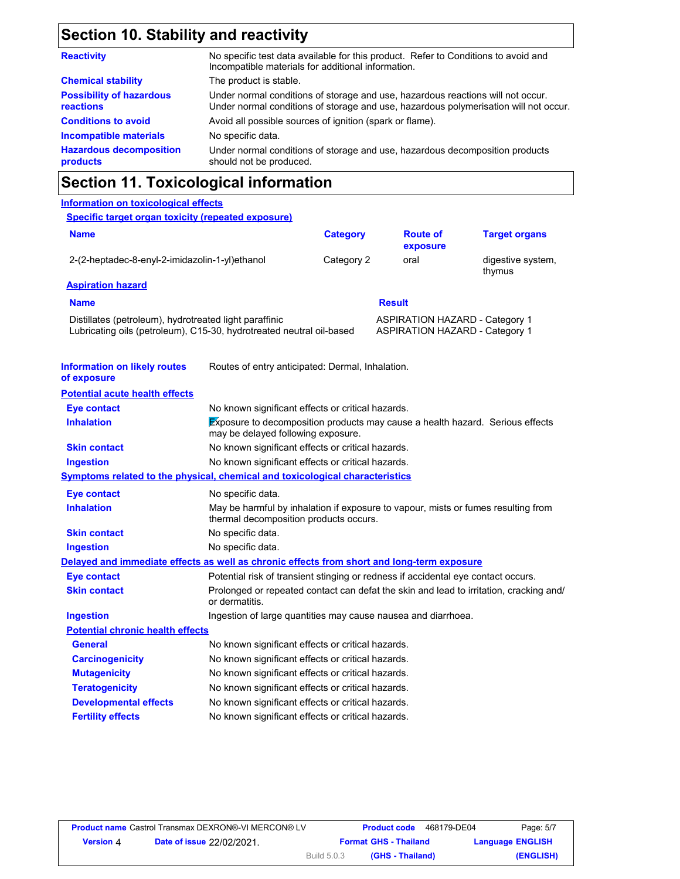### **Section 10. Stability and reactivity**

| No specific test data available for this product. Refer to Conditions to avoid and<br>Incompatible materials for additional information.                                |
|-------------------------------------------------------------------------------------------------------------------------------------------------------------------------|
| The product is stable.                                                                                                                                                  |
| Under normal conditions of storage and use, hazardous reactions will not occur.<br>Under normal conditions of storage and use, hazardous polymerisation will not occur. |
| Avoid all possible sources of ignition (spark or flame).                                                                                                                |
| No specific data.                                                                                                                                                       |
| Under normal conditions of storage and use, hazardous decomposition products<br>should not be produced.                                                                 |
|                                                                                                                                                                         |

### **Section 11. Toxicological information**

#### **Information on toxicological effects Information on likely routes of exposure Symptoms related to the physical, chemical and toxicological characteristics Delayed and immediate effects as well as chronic effects from short and long-term exposure** Routes of entry anticipated: Dermal, Inhalation. **Potential acute health effects Potential chronic health effects** Ingestion of large quantities may cause nausea and diarrhoea. Potential risk of transient stinging or redness if accidental eye contact occurs. Prolonged or repeated contact can defat the skin and lead to irritation, cracking and/ or dermatitis. **Eye contact Skin contact Ingestion Specific target organ toxicity (repeated exposure) Name Category** 2-(2-heptadec-8-enyl-2-imidazolin-1-yl)ethanol Category 2 oral digestive system, thymus **Aspiration hazard Name** Distillates (petroleum), hydrotreated light paraffinic **ASPIRATION HAZARD** - Category 1 Lubricating oils (petroleum), C15-30, hydrotreated neutral oil-based ASPIRATION HAZARD - Category 1 **Result Route of exposure Target organs Eye contact Inhalation Skin contact Ingestion** No known significant effects or critical hazards. No known significant effects or critical hazards. **Exposure to decomposition products may cause a health hazard. Serious effects** may be delayed following exposure. No known significant effects or critical hazards. **Eye contact Inhalation Ingestion Skin contact** No specific data. May be harmful by inhalation if exposure to vapour, mists or fumes resulting from thermal decomposition products occurs. No specific data. No specific data. **General Carcinogenicity Mutagenicity Teratogenicity Developmental effects Fertility effects** No known significant effects or critical hazards. No known significant effects or critical hazards. No known significant effects or critical hazards. No known significant effects or critical hazards. No known significant effects or critical hazards. No known significant effects or critical hazards.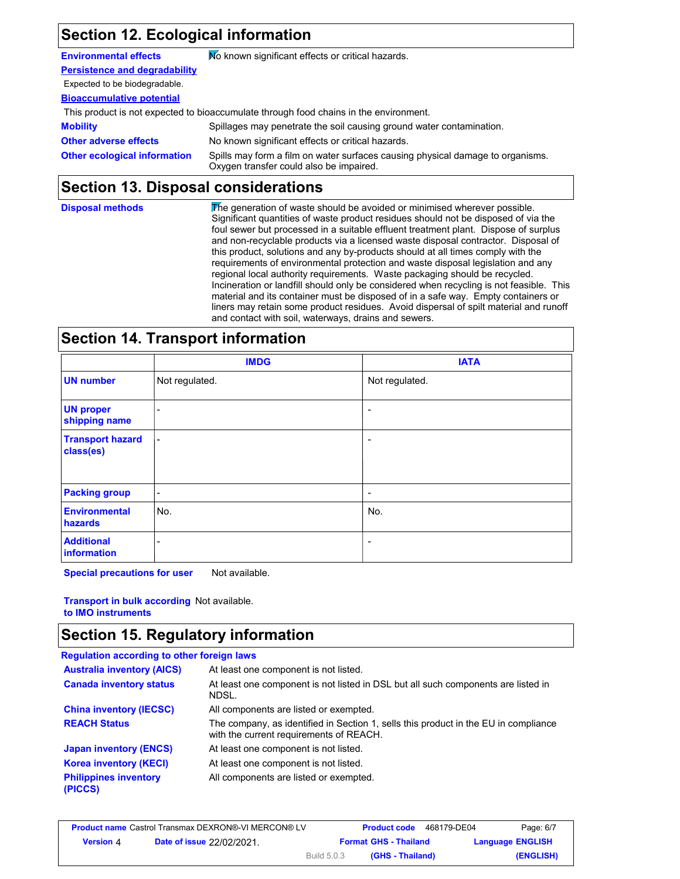# **Section 12. Ecological information**

**Environmental effects** Mo known significant effects or critical hazards.

**Persistence and degradability**

#### Expected to be biodegradable.

**Bioaccumulative potential**

This product is not expected to bioaccumulate through food chains in the environment.

**Mobility** Spillages may penetrate the soil causing ground water contamination. **Other adverse effects** No known significant effects or critical hazards. **Other ecological information** Spills may form a film on water surfaces causing physical damage to organisms. Oxygen transfer could also be impaired.

#### **Section 13. Disposal considerations**

| <b>Disposal methods</b> | The generation of waste should be avoided or minimised wherever possible.<br>Significant quantities of waste product residues should not be disposed of via the<br>foul sewer but processed in a suitable effluent treatment plant. Dispose of surplus<br>and non-recyclable products via a licensed waste disposal contractor. Disposal of<br>this product, solutions and any by-products should at all times comply with the<br>requirements of environmental protection and waste disposal legislation and any<br>regional local authority requirements. Waste packaging should be recycled.<br>Incineration or landfill should only be considered when recycling is not feasible. This<br>material and its container must be disposed of in a safe way. Empty containers or<br>liners may retain some product residues. Avoid dispersal of spilt material and runoff |
|-------------------------|--------------------------------------------------------------------------------------------------------------------------------------------------------------------------------------------------------------------------------------------------------------------------------------------------------------------------------------------------------------------------------------------------------------------------------------------------------------------------------------------------------------------------------------------------------------------------------------------------------------------------------------------------------------------------------------------------------------------------------------------------------------------------------------------------------------------------------------------------------------------------|
|                         | and contact with soil, waterways, drains and sewers.                                                                                                                                                                                                                                                                                                                                                                                                                                                                                                                                                                                                                                                                                                                                                                                                                     |

### **Section 14. Transport information**

|                                      | <b>IMDG</b>              | <b>IATA</b>              |
|--------------------------------------|--------------------------|--------------------------|
| <b>UN number</b>                     | Not regulated.           | Not regulated.           |
| <b>UN proper</b><br>shipping name    | ۰                        | $\overline{\phantom{a}}$ |
| <b>Transport hazard</b><br>class(es) | $\blacksquare$           | $\overline{\phantom{a}}$ |
| <b>Packing group</b>                 | $\overline{\phantom{a}}$ | -                        |
| <b>Environmental</b><br>hazards      | No.                      | No.                      |
| <b>Additional</b><br>information     | ۰                        | $\overline{\phantom{a}}$ |

**Special precautions for user** Not available.

**Transport in bulk according**  Not available. **to IMO instruments**

### **Section 15. Regulatory information**

| <b>Regulation according to other foreign laws</b> |                                                                                                                                |
|---------------------------------------------------|--------------------------------------------------------------------------------------------------------------------------------|
| <b>Australia inventory (AICS)</b>                 | At least one component is not listed.                                                                                          |
| <b>Canada inventory status</b>                    | At least one component is not listed in DSL but all such components are listed in<br>NDSL.                                     |
| <b>China inventory (IECSC)</b>                    | All components are listed or exempted.                                                                                         |
| <b>REACH Status</b>                               | The company, as identified in Section 1, sells this product in the EU in compliance<br>with the current requirements of REACH. |
| <b>Japan inventory (ENCS)</b>                     | At least one component is not listed.                                                                                          |
| <b>Korea inventory (KECI)</b>                     | At least one component is not listed.                                                                                          |
| <b>Philippines inventory</b><br>(PICCS)           | All components are listed or exempted.                                                                                         |

| <b>Product name</b> Castrol Transmax DEXRON®-VI MERCON® LV |                                  |                    | <b>Product code</b>          | Page: 6/7<br>468179-DE04 |
|------------------------------------------------------------|----------------------------------|--------------------|------------------------------|--------------------------|
| <b>Version 4</b>                                           | <b>Date of issue 22/02/2021.</b> |                    | <b>Format GHS - Thailand</b> | <b>Language ENGLISH</b>  |
|                                                            |                                  | <b>Build 5.0.3</b> | (GHS - Thailand)             | (ENGLISH)                |